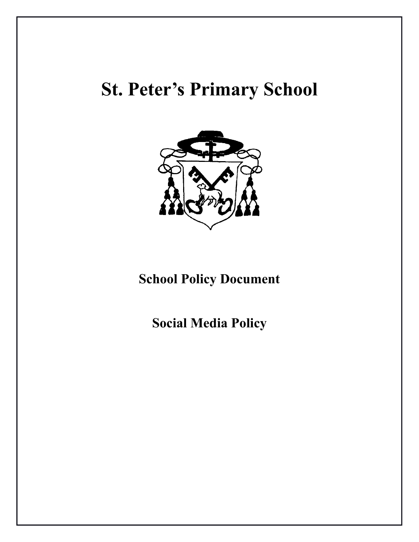# **St. Peter's Primary School**



# **School Policy Document**

**Social Media Policy**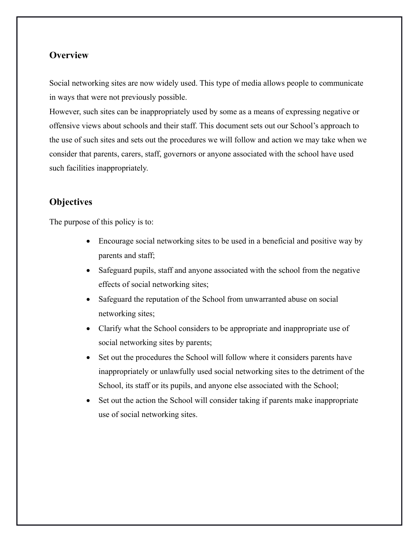# **Overview**

Social networking sites are now widely used. This type of media allows people to communicate in ways that were not previously possible.

However, such sites can be inappropriately used by some as a means of expressing negative or offensive views about schools and their staff. This document sets out our School's approach to the use of such sites and sets out the procedures we will follow and action we may take when we consider that parents, carers, staff, governors or anyone associated with the school have used such facilities inappropriately.

# **Objectives**

The purpose of this policy is to:

- Encourage social networking sites to be used in a beneficial and positive way by parents and staff;
- Safeguard pupils, staff and anyone associated with the school from the negative effects of social networking sites;
- Safeguard the reputation of the School from unwarranted abuse on social networking sites;
- Clarify what the School considers to be appropriate and inappropriate use of social networking sites by parents;
- Set out the procedures the School will follow where it considers parents have inappropriately or unlawfully used social networking sites to the detriment of the School, its staff or its pupils, and anyone else associated with the School;
- Set out the action the School will consider taking if parents make inappropriate use of social networking sites.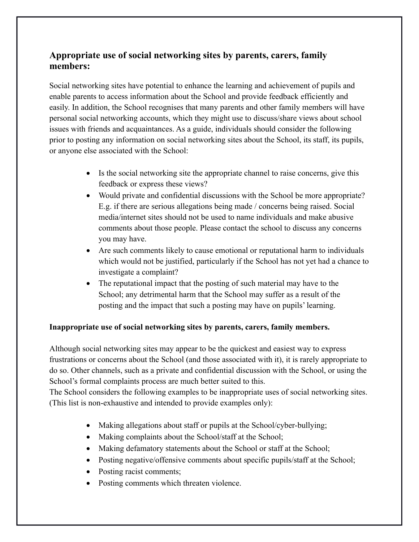# **Appropriate use of social networking sites by parents, carers, family members:**

Social networking sites have potential to enhance the learning and achievement of pupils and enable parents to access information about the School and provide feedback efficiently and easily. In addition, the School recognises that many parents and other family members will have personal social networking accounts, which they might use to discuss/share views about school issues with friends and acquaintances. As a guide, individuals should consider the following prior to posting any information on social networking sites about the School, its staff, its pupils, or anyone else associated with the School:

- Is the social networking site the appropriate channel to raise concerns, give this feedback or express these views?
- Would private and confidential discussions with the School be more appropriate? E.g. if there are serious allegations being made / concerns being raised. Social media/internet sites should not be used to name individuals and make abusive comments about those people. Please contact the school to discuss any concerns you may have.
- Are such comments likely to cause emotional or reputational harm to individuals which would not be justified, particularly if the School has not yet had a chance to investigate a complaint?
- The reputational impact that the posting of such material may have to the School; any detrimental harm that the School may suffer as a result of the posting and the impact that such a posting may have on pupils' learning.

## **Inappropriate use of social networking sites by parents, carers, family members.**

Although social networking sites may appear to be the quickest and easiest way to express frustrations or concerns about the School (and those associated with it), it is rarely appropriate to do so. Other channels, such as a private and confidential discussion with the School, or using the School's formal complaints process are much better suited to this.

The School considers the following examples to be inappropriate uses of social networking sites. (This list is non-exhaustive and intended to provide examples only):

- Making allegations about staff or pupils at the School/cyber-bullying;
- Making complaints about the School/staff at the School;
- Making defamatory statements about the School or staff at the School;
- Posting negative/offensive comments about specific pupils/staff at the School;
- Posting racist comments;
- Posting comments which threaten violence.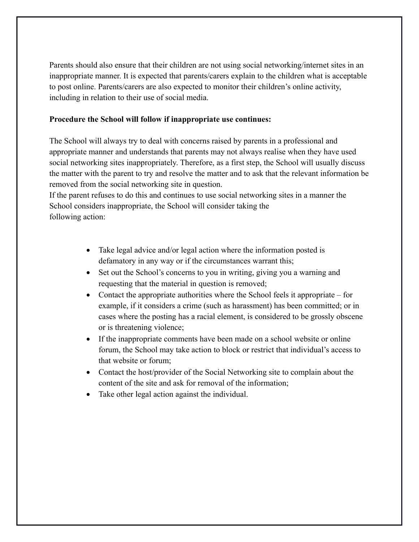Parents should also ensure that their children are not using social networking/internet sites in an inappropriate manner. It is expected that parents/carers explain to the children what is acceptable to post online. Parents/carers are also expected to monitor their children's online activity, including in relation to their use of social media.

#### **Procedure the School will follow if inappropriate use continues:**

The School will always try to deal with concerns raised by parents in a professional and appropriate manner and understands that parents may not always realise when they have used social networking sites inappropriately. Therefore, as a first step, the School will usually discuss the matter with the parent to try and resolve the matter and to ask that the relevant information be removed from the social networking site in question.

If the parent refuses to do this and continues to use social networking sites in a manner the School considers inappropriate, the School will consider taking the following action:

- Take legal advice and/or legal action where the information posted is defamatory in any way or if the circumstances warrant this;
- Set out the School's concerns to you in writing, giving you a warning and requesting that the material in question is removed;
- Contact the appropriate authorities where the School feels it appropriate for example, if it considers a crime (such as harassment) has been committed; or in cases where the posting has a racial element, is considered to be grossly obscene or is threatening violence;
- If the inappropriate comments have been made on a school website or online forum, the School may take action to block or restrict that individual's access to that website or forum;
- Contact the host/provider of the Social Networking site to complain about the content of the site and ask for removal of the information;
- Take other legal action against the individual.